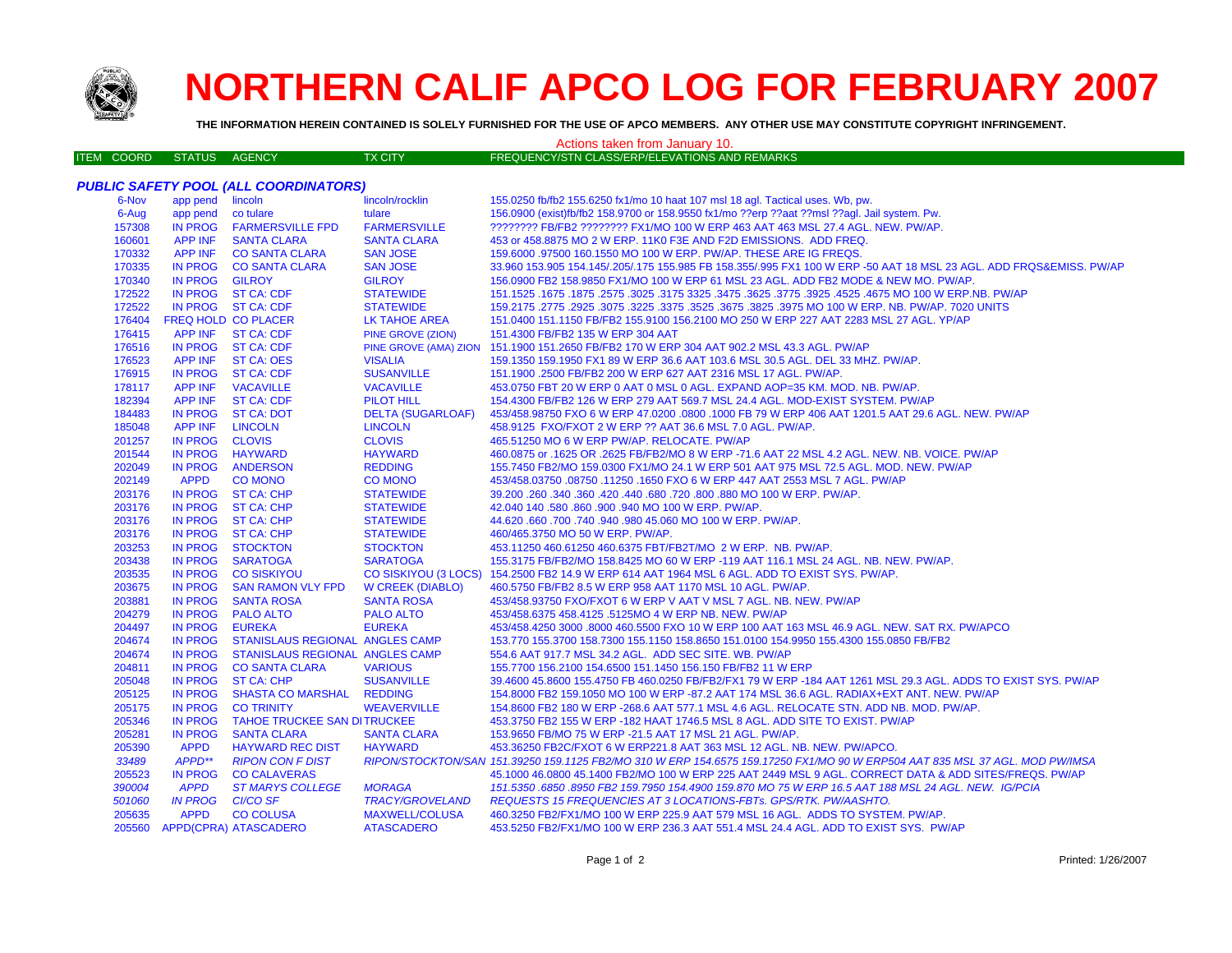

## **NORTHERN CALIF APCO LOG FOR FEBRUARY 2007**

**THE INFORMATION HEREIN CONTAINED IS SOLELY FURNISHED FOR THE USE OF APCO MEMBERS. ANY OTHER USE MAY CONSTITUTE COPYRIGHT INFRINGEMENT.**

## ITEM COORD STATUS AGENCY TX CITY FREQUENCY/STN CLASS/ERP/ELEVATIONS AND REMARKS Actions taken from January 10.

## *PUBLIC SAFETY POOL (ALL COORDINATORS)*

| 6-Nov  | app pend       | lincoln                            | lincoln/rocklin          | 155.0250 fb/fb2 155.6250 fx1/mo 10 haat 107 msl 18 agl. Tactical uses. Wb, pw.                                               |
|--------|----------------|------------------------------------|--------------------------|------------------------------------------------------------------------------------------------------------------------------|
| 6-Aug  | app pend       | co tulare                          | tulare                   | 156.0900 (exist)fb/fb2 158.9700 or 158.9550 fx1/mo ??erp ??aat ??msl ??aql. Jail system. Pw.                                 |
| 157308 | <b>IN PROG</b> | <b>FARMERSVILLE FPD</b>            | <b>FARMERSVILLE</b>      | ???????? FB/FB2 ???????? FX1/MO 100 W ERP 463 AAT 463 MSL 27.4 AGL. NEW. PW/AP.                                              |
| 160601 | <b>APP INF</b> | <b>SANTA CLARA</b>                 | <b>SANTA CLARA</b>       | 453 or 458.8875 MO 2 W ERP. 11K0 F3E AND F2D EMISSIONS. ADD FREQ.                                                            |
| 170332 | <b>APP INF</b> | <b>CO SANTA CLARA</b>              | <b>SAN JOSE</b>          | 159.6000 .97500 160.1550 MO 100 W ERP. PW/AP. THESE ARE IG FREQS.                                                            |
| 170335 | <b>IN PROG</b> | <b>CO SANTA CLARA</b>              | <b>SAN JOSE</b>          | 33.960 153.905 154.145/.205/.175 155.985 FB 158.355/.995 FX1 100 W ERP -50 AAT 18 MSL 23 AGL. ADD FRQS&EMISS. PW/AP          |
| 170340 | IN PROG        | <b>GILROY</b>                      | <b>GILROY</b>            | 156.0900 FB2 158.9850 FX1/MO 100 W ERP 61 MSL 23 AGL. ADD FB2 MODE & NEW MO. PW/AP.                                          |
| 172522 |                | IN PROG ST CA: CDF                 | <b>STATEWIDE</b>         | 151.1525 .1675 .1677 .3325 .4525 .4525 .3925 .3775 .3625 .3625 .3775 .3625 .3625 .1675 .1677 .1525 .1679 .167                |
| 172522 |                | IN PROG ST CA: CDF                 | <b>STATEWIDE</b>         | 159.2175 .2775 .2925 .3075 .3225 .3675 .3675 .3825 .3975 MO 100 W ERP. NB. PW/AP. 7020 UNITS                                 |
| 176404 |                | <b>FREQ HOLD CO PLACER</b>         | LK TAHOE AREA            | 151.0400 151.1150 FB/FB2 155.9100 156.2100 MO 250 W ERP 227 AAT 2283 MSL 27 AGL. YP/AP                                       |
| 176415 |                | APP INF ST CA: CDF                 | <b>PINE GROVE (ZION)</b> | 151.4300 FB/FB2 135 W ERP 304 AAT                                                                                            |
| 176516 |                | IN PROG ST CA: CDF                 |                          | PINE GROVE (AMA) ZION 151.1900 151.2650 FB/FB2 170 W ERP 304 AAT 902.2 MSL 43.3 AGL. PW/AP                                   |
| 176523 | APP INF        | <b>ST CA: OES</b>                  | <b>VISALIA</b>           | 159.1350 159.1950 FX1 89 W ERP 36.6 AAT 103.6 MSL 30.5 AGL. DEL 33 MHZ. PW/AP.                                               |
| 176915 | <b>IN PROG</b> | <b>ST CA: CDF</b>                  | <b>SUSANVILLE</b>        | 151.1900 .2500 FB/FB2 200 W ERP 627 AAT 2316 MSL 17 AGL. PW/AP.                                                              |
| 178117 | <b>APP INF</b> | <b>VACAVILLE</b>                   | <b>VACAVILLE</b>         | 453.0750 FBT 20 W ERP 0 AAT 0 MSL 0 AGL. EXPAND AOP=35 KM. MOD. NB. PW/AP.                                                   |
| 182394 | <b>APP INF</b> | <b>ST CA: CDF</b>                  | <b>PILOT HILL</b>        | 154.4300 FB/FB2 126 W ERP 279 AAT 569.7 MSL 24.4 AGL. MOD-EXIST SYSTEM. PW/AP                                                |
| 184483 | <b>IN PROG</b> | <b>ST CA: DOT</b>                  | <b>DELTA (SUGARLOAF)</b> | 453/458.98750 FXO 6 W ERP 47.0200 .0800 .1000 FB 79 W ERP 406 AAT 1201.5 AAT 29.6 AGL. NEW. PW/AP                            |
| 185048 | APP INF        | <b>LINCOLN</b>                     | <b>LINCOLN</b>           | 458.9125 FXO/FXOT 2 W ERP ?? AAT 36.6 MSL 7.0 AGL. PW/AP.                                                                    |
| 201257 | <b>IN PROG</b> | <b>CLOVIS</b>                      | <b>CLOVIS</b>            | 465.51250 MO 6 W ERP PW/AP. RELOCATE. PW/AP                                                                                  |
| 201544 | <b>IN PROG</b> | <b>HAYWARD</b>                     | <b>HAYWARD</b>           | 460.0875 or .1625 OR .2625 FB/FB2/MO 8 W ERP -71.6 AAT 22 MSL 4.2 AGL. NEW. NB. VOICE. PW/AP                                 |
| 202049 | <b>IN PROG</b> | <b>ANDERSON</b>                    | <b>REDDING</b>           | 155,7450 FB2/MO 159,0300 FX1/MO 24.1 W ERP 501 AAT 975 MSL 72.5 AGL, MOD, NEW, PW/AP                                         |
| 202149 | <b>APPD</b>    | <b>CO MONO</b>                     | <b>CO MONO</b>           | 453/458.03750 .08750 .11250 .1650 FXO 6 W ERP 447 AAT 2553 MSL 7 AGL. PW/AP                                                  |
| 203176 |                | IN PROG ST CA: CHP                 | <b>STATEWIDE</b>         | 39.200 .260 .340 .360 .420 .440 .680 .720 .800 .880 MO 100 W ERP. PW/AP.                                                     |
| 203176 |                | IN PROG ST CA: CHP                 | <b>STATEWIDE</b>         | 42.040 140 .580 .860 .900 .940 MO 100 W ERP. PW/AP.                                                                          |
| 203176 |                | IN PROG ST CA: CHP                 | <b>STATEWIDE</b>         | 44.620 .660 .700 .740 .940 .980 45.060 MO 100 W ERP. PW/AP.                                                                  |
| 203176 |                | IN PROG ST CA: CHP                 | <b>STATEWIDE</b>         | 460/465.3750 MO 50 W ERP. PW/AP.                                                                                             |
| 203253 | <b>IN PROG</b> | <b>STOCKTON</b>                    | <b>STOCKTON</b>          | 453.11250 460.61250 460.6375 FBT/FB2T/MO 2 W ERP. NB. PW/AP.                                                                 |
| 203438 | <b>IN PROG</b> | <b>SARATOGA</b>                    | <b>SARATOGA</b>          | 155.3175 FB/FB2/MO 158.8425 MO 60 W ERP -119 AAT 116.1 MSL 24 AGL. NB. NEW. PW/AP.                                           |
| 203535 | <b>IN PROG</b> | <b>CO SISKIYOU</b>                 |                          | CO SISKIYOU (3 LOCS) 154.2500 FB2 14.9 W ERP 614 AAT 1964 MSL 6 AGL. ADD TO EXIST SYS. PW/AP.                                |
| 203675 | <b>IN PROG</b> | <b>SAN RAMON VLY FPD</b>           | W CREEK (DIABLO)         | 460.5750 FB/FB2 8.5 W ERP 958 AAT 1170 MSL 10 AGL. PW/AP.                                                                    |
| 203881 | <b>IN PROG</b> | <b>SANTA ROSA</b>                  | <b>SANTA ROSA</b>        | 453/458.93750 FXO/FXOT 6 W ERP V AAT V MSL 7 AGL. NB. NEW. PW/AP                                                             |
| 204279 | <b>IN PROG</b> | <b>PALO ALTO</b>                   | <b>PALO ALTO</b>         | 453/458.6375 458.4125 .5125MO 4 W ERP NB. NEW. PW/AP                                                                         |
| 204497 | IN PROG        | <b>EUREKA</b>                      | <b>EUREKA</b>            | 453/458.4250 3000 .8000 460.5500 FXO 10 W ERP 100 AAT 163 MSL 46.9 AGL. NEW. SAT RX. PW/APCO                                 |
| 204674 | <b>IN PROG</b> | STANISLAUS REGIONAL ANGLES CAMP    |                          | 153.770 155.3700 158.7300 155.1150 158.8650 151.0100 154.9950 155.4300 155.0850 FB/FB2                                       |
| 204674 | <b>IN PROG</b> | STANISLAUS REGIONAL ANGLES CAMP    |                          | 554.6 AAT 917.7 MSL 34.2 AGL. ADD SEC SITE. WB. PW/AP                                                                        |
| 204811 | <b>IN PROG</b> | <b>CO SANTA CLARA</b>              | <b>VARIOUS</b>           | 155.7700 156.2100 154.6500 151.1450 156.150 FB/FB2 11 W ERP                                                                  |
| 205048 | <b>IN PROG</b> | <b>ST CA: CHP</b>                  | <b>SUSANVILLE</b>        | 39.4600 45.8600 155.4750 FB 460.0250 FB/FB2/FX1 79 W ERP -184 AAT 1261 MSL 29.3 AGL. ADDS TO EXIST SYS. PW/AP                |
| 205125 | <b>IN PROG</b> | <b>SHASTA CO MARSHAL</b>           | <b>REDDING</b>           | 154.8000 FB2 159.1050 MO 100 W ERP -87.2 AAT 174 MSL 36.6 AGL. RADIAX+EXT ANT. NEW. PW/AP                                    |
| 205175 | <b>IN PROG</b> | <b>CO TRINITY</b>                  | <b>WEAVERVILLE</b>       | 154.8600 FB2 180 W ERP -268.6 AAT 577.1 MSL 4.6 AGL. RELOCATE STN. ADD NB. MOD. PW/AP.                                       |
| 205346 | <b>IN PROG</b> | <b>TAHOE TRUCKEE SAN DITRUCKEE</b> |                          | 453.3750 FB2 155 W ERP -182 HAAT 1746.5 MSL 8 AGL. ADD SITE TO EXIST. PW/AP                                                  |
| 205281 | <b>IN PROG</b> | <b>SANTA CLARA</b>                 | <b>SANTA CLARA</b>       | 153.9650 FB/MO 75 W ERP -21.5 AAT 17 MSL 21 AGL. PW/AP.                                                                      |
| 205390 | <b>APPD</b>    | <b>HAYWARD REC DIST</b>            | <b>HAYWARD</b>           | 453.36250 FB2C/FXOT 6 W ERP221.8 AAT 363 MSL 12 AGL. NB. NEW. PW/APCO.                                                       |
| 33489  | APPD**         | <b>RIPON CON F DIST</b>            |                          | RIPON/STOCKTON/SAN 151.39250 159.1125 FB2/MO 310 W ERP 154.6575 159.17250 FX1/MO 90 W ERP504 AAT 835 MSL 37 AGL. MOD PW/IMSA |
| 205523 | <b>IN PROG</b> | <b>CO CALAVERAS</b>                |                          | 45.1000 46.0800 45.1400 FB2/MO 100 W ERP 225 AAT 2449 MSL 9 AGL. CORRECT DATA & ADD SITES/FREQS. PW/AP                       |
| 390004 | <b>APPD</b>    | <b>ST MARYS COLLEGE</b>            | <b>MORAGA</b>            | 151.5350 .6850 .8950 FB2 159.7950 154.4900 159.870 MO 75 W ERP 16.5 AAT 188 MSL 24 AGL. NEW. IG/PCIA                         |
| 501060 | <b>IN PROG</b> | <b>CI/CO SF</b>                    | <b>TRACY/GROVELAND</b>   | REQUESTS 15 FREQUENCIES AT 3 LOCATIONS-FBTs. GPS/RTK. PW/AASHTO.                                                             |
| 205635 | <b>APPD</b>    | <b>CO COLUSA</b>                   | <b>MAXWELL/COLUSA</b>    | 460.3250 FB2/FX1/MO 100 W ERP 225.9 AAT 579 MSL 16 AGL. ADDS TO SYSTEM. PW/AP.                                               |
| 205560 |                | <b>APPD(CPRA) ATASCADERO</b>       | <b>ATASCADERO</b>        | 453.5250 FB2/FX1/MO 100 W ERP 236.3 AAT 551.4 MSL 24.4 AGL. ADD TO EXIST SYS. PW/AP                                          |